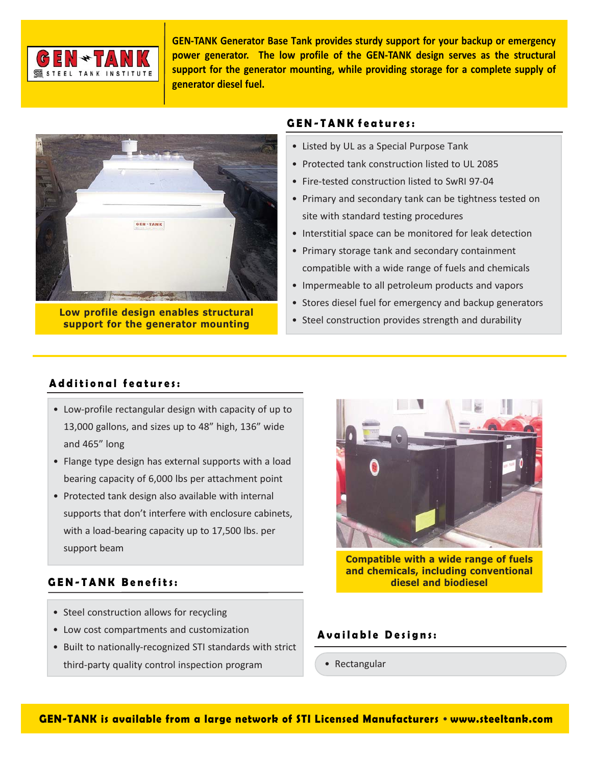

**GEN-TANK Generator Base Tank provides sturdy support for your backup or emergency power generator. The low profile of the GEN-TANK design serves as the structural support for the generator mounting, while providing storage for a complete supply of generator diesel fuel.**



**Low profile design enables structural support for the generator mounting**

# **GEN-TANK features:**

- Listed by UL as a Special Purpose Tank
- Protected tank construction listed to UL 2085
- Fire-tested construction listed to SwRI 97-04
- Primary and secondary tank can be tightness tested on site with standard testing procedures
- Interstitial space can be monitored for leak detection
- Primary storage tank and secondary containment compatible with a wide range of fuels and chemicals
- Impermeable to all petroleum products and vapors
- Stores diesel fuel for emergency and backup generators
- Steel construction provides strength and durability

## **Additional features:**

- Low-profile rectangular design with capacity of up to 13,000 gallons, and sizes up to 48" high, 136" wide and 465" long
- Flange type design has external supports with a load bearing capacity of 6,000 lbs per attachment point
- Protected tank design also available with internal supports that don't interfere with enclosure cabinets, with a load-bearing capacity up to 17,500 lbs. per support beam

# **GEN-TANK Benefits:**

- Steel construction allows for recycling
- Low cost compartments and customization
- Built to nationally-recognized STI standards with strict third-party quality control inspection program



**Compatible with a wide range of fuels and chemicals, including conventional diesel and biodiesel**

## **Available Designs:**

• Rectangular